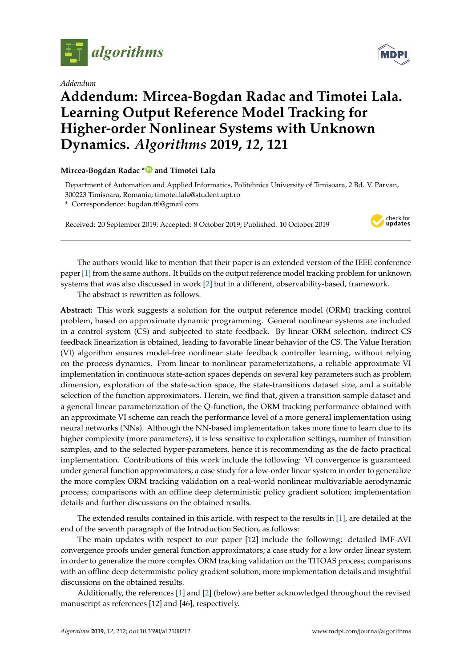

*Addendum*



## **Addendum: Mircea-Bogdan Radac and Timotei Lala. Learning Output Reference Model Tracking for Higher-order Nonlinear Systems with Unknown Dynamics.** *Algorithms* **2019,** *12***, 121**

## **Mircea-Bogdan Radac [\\*](https://orcid.org/0000-0001-8410-6547) and Timotei Lala**

Department of Automation and Applied Informatics, Politehnica University of Timisoara, 2 Bd. V. Parvan, 300223 Timisoara, Romania; timotei.lala@student.upt.ro

**\*** Correspondence: bogdan.ttl@gmail.com

Received: 20 September 2019; Accepted: 8 October 2019; Published: 10 October 2019



The authors would like to mention that their paper is an extended version of the IEEE conference paper [\[1\]](#page-1-0) from the same authors. It builds on the output reference model tracking problem for unknown systems that was also discussed in work [\[2\]](#page-1-1) but in a different, observability-based, framework.

The abstract is rewritten as follows.

**Abstract:** This work suggests a solution for the output reference model (ORM) tracking control problem, based on approximate dynamic programming. General nonlinear systems are included in a control system (CS) and subjected to state feedback. By linear ORM selection, indirect CS feedback linearization is obtained, leading to favorable linear behavior of the CS. The Value Iteration (VI) algorithm ensures model-free nonlinear state feedback controller learning, without relying on the process dynamics. From linear to nonlinear parameterizations, a reliable approximate VI implementation in continuous state-action spaces depends on several key parameters such as problem dimension, exploration of the state-action space, the state-transitions dataset size, and a suitable selection of the function approximators. Herein, we find that, given a transition sample dataset and a general linear parameterization of the Q-function, the ORM tracking performance obtained with an approximate VI scheme can reach the performance level of a more general implementation using neural networks (NNs). Although the NN-based implementation takes more time to learn due to its higher complexity (more parameters), it is less sensitive to exploration settings, number of transition samples, and to the selected hyper-parameters, hence it is recommending as the de facto practical implementation. Contributions of this work include the following: VI convergence is guaranteed under general function approximators; a case study for a low-order linear system in order to generalize the more complex ORM tracking validation on a real-world nonlinear multivariable aerodynamic process; comparisons with an offline deep deterministic policy gradient solution; implementation details and further discussions on the obtained results.

The extended results contained in this article, with respect to the results in [\[1\]](#page-1-0), are detailed at the end of the seventh paragraph of the Introduction Section, as follows:

The main updates with respect to our paper [12] include the following: detailed IMF-AVI convergence proofs under general function approximators; a case study for a low order linear system in order to generalize the more complex ORM tracking validation on the TITOAS process; comparisons with an offline deep deterministic policy gradient solution; more implementation details and insightful discussions on the obtained results.

Additionally, the references [\[1\]](#page-1-0) and [\[2\]](#page-1-1) (below) are better acknowledged throughout the revised manuscript as references [12] and [46], respectively.